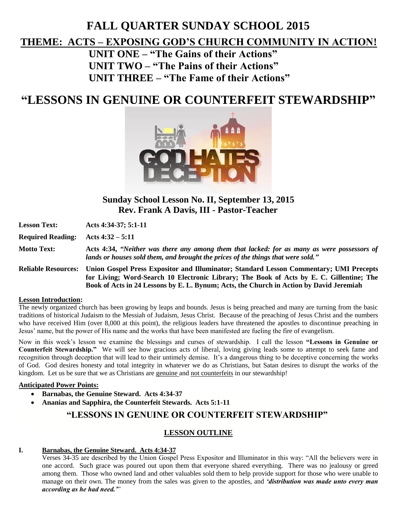# **FALL QUARTER SUNDAY SCHOOL 2015**

# **THEME: ACTS – EXPOSING GOD'S CHURCH COMMUNITY IN ACTION!**

**UNIT ONE – "The Gains of their Actions" UNIT TWO – "The Pains of their Actions" UNIT THREE – "The Fame of their Actions"**

# **"LESSONS IN GENUINE OR COUNTERFEIT STEWARDSHIP"**



**Sunday School Lesson No. II, September 13, 2015 Rev. Frank A Davis, III - Pastor-Teacher**

| <b>Lesson Text:</b>        | Acts 4:34-37; 5:1-11                                                                                                                                                                                                                                                          |
|----------------------------|-------------------------------------------------------------------------------------------------------------------------------------------------------------------------------------------------------------------------------------------------------------------------------|
| <b>Required Reading:</b>   | Acts $4:32 - 5:11$                                                                                                                                                                                                                                                            |
| <b>Motto Text:</b>         | Acts 4:34, "Neither was there any among them that lacked: for as many as were possessors of<br>lands or houses sold them, and brought the prices of the things that were sold."                                                                                               |
| <b>Reliable Resources:</b> | Union Gospel Press Expositor and Illuminator; Standard Lesson Commentary; UMI Precepts<br>for Living; Word-Search 10 Electronic Library; The Book of Acts by E. C. Gillentine; The<br>Book of Acts in 24 Lessons by E. L. Bynum; Acts, the Church in Action by David Jeremiah |

#### **Lesson Introduction:**

The newly organized church has been growing by leaps and bounds. Jesus is being preached and many are turning from the basic traditions of historical Judaism to the Messiah of Judaism, Jesus Christ. Because of the preaching of Jesus Christ and the numbers who have received Him (over 8,000 at this point), the religious leaders have threatened the apostles to discontinue preaching in Jesus' name, but the power of His name and the works that have been manifested are fueling the fire of evangelism.

Now in this week's lesson we examine the blessings and curses of stewardship. I call the lesson **"Lessons in Genuine or Counterfeit Stewardship."** We will see how gracious acts of liberal, loving giving leads some to attempt to seek fame and recognition through deception that will lead to their untimely demise. It's a dangerous thing to be deceptive concerning the works of God. God desires honesty and total integrity in whatever we do as Christians, but Satan desires to disrupt the works of the kingdom. Let us be sure that we as Christians are genuine and not counterfeits in our stewardship!

## **Anticipated Power Points:**

- **Barnabas, the Genuine Steward. Acts 4:34-37**
- **Ananias and Sapphira, the Counterfeit Stewards. Acts 5:1-11**

# **"LESSONS IN GENUINE OR COUNTERFEIT STEWARDSHIP"**

# **LESSON OUTLINE**

## **I. Barnabas, the Genuine Steward. Acts 4:34-37**

Verses 34-35 are described by the Union Gospel Press Expositor and Illuminator in this way: "All the believers were in one accord. Such grace was poured out upon them that everyone shared everything. There was no jealousy or greed among them. Those who owned land and other valuables sold them to help provide support for those who were unable to manage on their own. The money from the sales was given to the apostles, and *'distribution was made unto every man according as he had need.'*"